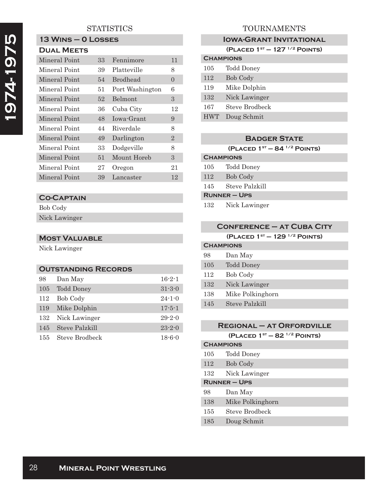## **STATISTICS**

# **13 Wins – 0 Losses**

## **Dual Meets**

| Mineral Point | 33 | Fennimore       | 11             |
|---------------|----|-----------------|----------------|
| Mineral Point | 39 | Platteville     | 8              |
| Mineral Point | 54 | <b>Brodhead</b> | $\Omega$       |
| Mineral Point | 51 | Port Washington | 6              |
| Mineral Point | 52 | Belmont         | 3              |
| Mineral Point | 36 | Cuba City       | 12             |
| Mineral Point | 48 | Iowa-Grant      | 9              |
| Mineral Point | 44 | Riverdale       | 8              |
| Mineral Point | 49 | Darlington      | $\overline{2}$ |
| Mineral Point | 33 | Dodgeville      | 8              |
| Mineral Point | 51 | Mount Horeb     | 3              |
| Mineral Point | 27 | Oregon          | 21             |
| Mineral Point | 39 | Lancaster       | 12             |

#### **Co-Captain**

Bob Cody Nick Lawinger

#### **Most Valuable**

Nick Lawinger

## **Outstanding Records** 98 Dan May 16-2-1 105 Todd Doney 31-3-0 112 Bob Cody 24-1-0 119 Mike Dolphin 17-5-1 132 Nick Lawinger 29-2-0 145 Steve Palzkill 23-2-0

| 11 TO 1 | $\sim$ 000 $\sqrt{2}$ 1 0.1211111 | $\sim$ $\sim$ |
|---------|-----------------------------------|---------------|
|         | 155 Steve Brodbeck                | $18 - 6 - 0$  |

## TOURNAMENTS

#### **IOWA-GRANT INVITATIONAL**

**(Placed 1st – 127 1/2 Points)**

| <b>CHAMPIONS</b> |                   |  |
|------------------|-------------------|--|
| 105              | <b>Todd Doney</b> |  |
| 112              | <b>Bob Cody</b>   |  |
| 119              | Mike Dolphin      |  |
| 132              | Nick Lawinger     |  |
| 167              | Steve Brodbeck    |  |
| <b>HWT</b>       | Doug Schmit       |  |
|                  |                   |  |

#### **Badger State**

**(Placed 1st – 84 1/2 Points)**

## **Champions** 105 Todd Doney 112 Bob Cody 145 Steve Palzkill **Runner – Ups**

132 Nick Lawinger

| <b>CONFERENCE - AT CUBA CITY</b> |                                      |  |
|----------------------------------|--------------------------------------|--|
|                                  | (PLACED $1^{st} - 129^{1/2}$ POINTS) |  |
| <b>CHAMPIONS</b>                 |                                      |  |
| 98                               | Dan May                              |  |
| 105                              | Todd Doney                           |  |
| 112                              | Bob Cody                             |  |
| 132                              | Nick Lawinger                        |  |
| 138                              | Mike Polkinghorn                     |  |
| 145                              | Steve Palzkill                       |  |

## **Regional – at Orfordville**

**(Placed 1st – 82 1/2 Points)**

| <b>CHAMPIONS</b>    |                  |  |
|---------------------|------------------|--|
| 105                 | Todd Doney       |  |
| 112                 | <b>Bob Cody</b>  |  |
| 132                 | Nick Lawinger    |  |
| <b>RUNNER – UPS</b> |                  |  |
| 98                  | Dan May          |  |
| 138                 | Mike Polkinghorn |  |
| 155                 | Steve Brodbeck   |  |
| 185                 | Doug Schmit      |  |